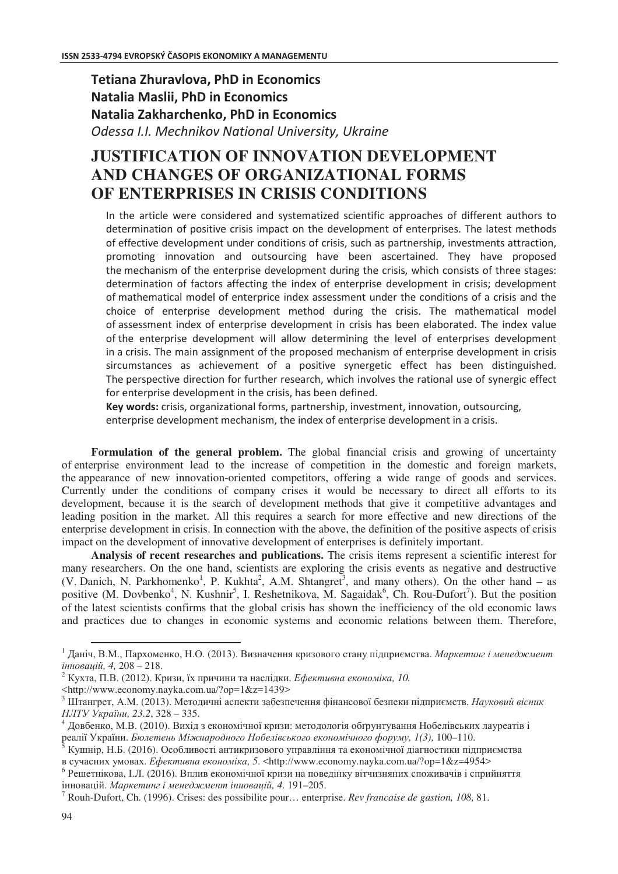## **Tetiana Zhuravlova, PhD in Economics Natalia Maslii, PhD in Economics Natalia Zakharchenko, PhD in Economics** Odessa I.I. Mechnikov National University, Ukraine

# **JUSTIFICATION OF INNOVATION DEVELOPMENT AND CHANGES OF ORGANIZATIONAL FORMS OF ENTERPRISES IN CRISIS CONDITIONS**

In the article were considered and systematized scientific approaches of different authors to determination of positive crisis impact on the development of enterprises. The latest methods of effective development under conditions of crisis, such as partnership, investments attraction, promoting innovation and outsourcing have been ascertained. They have proposed the mechanism of the enterprise development during the crisis, which consists of three stages: determination of factors affecting the index of enterprise development in crisis; development of mathematical model of enterprice index assessment under the conditions of a crisis and the choice of enterprise development method during the crisis. The mathematical model of assessment index of enterprise development in crisis has been elaborated. The index value of the enterprise development will allow determining the level of enterprises development in a crisis. The main assignment of the proposed mechanism of enterprise development in crisis sircumstances as achievement of a positive synergetic effect has been distinguished. The perspective direction for further research, which involves the rational use of synergic effect for enterprise development in the crisis, has been defined.

Key words: crisis, organizational forms, partnership, investment, innovation, outsourcing, enterprise development mechanism, the index of enterprise development in a crisis.

Formulation of the general problem. The global financial crisis and growing of uncertainty of enterprise environment lead to the increase of competition in the domestic and foreign markets, the appearance of new innovation-oriented competitors, offering a wide range of goods and services. Currently under the conditions of company crises it would be necessary to direct all efforts to its development, because it is the search of development methods that give it competitive advantages and leading position in the market. All this requires a search for more effective and new directions of the enterprise development in crisis. In connection with the above, the definition of the positive aspects of crisis impact on the development of innovative development of enterprises is definitely important.

**Analysis of recent researches and publications.** The crisis items represent a scientific interest for many researchers. On the one hand, scientists are exploring the crisis events as negative and destructive (V. Danich, N. Parkhomenko<sup>1</sup>, P. Kukhta<sup>2</sup>, A.M. Shtangret<sup>3</sup>, and many others). On the other hand – as positive (M. Dovbenko<sup>4</sup>, N. Kushnir<sup>5</sup>, I. Reshetnikova, M. Sagaidak<sup>6</sup>, Ch. Rou-Dufort<sup>7</sup>). But the position of the latest scientists confirms that the global crisis has shown the inefficiency of the old economic laws and practices due to changes in economic systems and economic relations between them. Therefore,

 $\overline{a}$ 

<sup>&</sup>lt;sup>1</sup> Даніч, В.М., Пархоменко, Н.О. (2013). Визначення кризового стану підприємства. *Маркетинг і менеджмент , 4,* 208 – 218.

 $^2$  Кухта, П.В. (2012). Кризи, їх причини та наслідки. *Ефективна економіка, 10*.

<sup>&</sup>lt;http://www.economy.nayka.com.ua/?op=1&z=1439>

 $^3$  Штангрет, А.М. (2013). Методичні аспекти забезпечення фінансової безпеки підприємств. *Науковий вісник HJITУ України*, 23.2, 328 – 335.

 $^4$  Довбенко, М.В. (2010). Вихід з економічної кризи: методологія обґрунтування Нобелівських лауреатів і реалії України. *Бюлетень Міжнародного Нобелівського економічного форуму, 1(3), 100–110.* 

 $^{\rm 5}$  Кушнір, Н.Б. (2016). Особливості антикризового управління та економічної діагностики підприємства в сучасних умовах. *Ефективна економіка, 5*. <http://www.economy.nayka.com.ua/?op=1&z=4954>

 $^6$  Решетнікова, І.Л. (2016). Вплив економічної кризи на поведінку вітчизняних споживачів і сприйняття інновацій. *Маркетинг і менеджмент інновацій, 4*. 191–205.

<sup>7</sup> Rouh-Dufort, Ch. (1996). Crises: des possibilite pour… enterprise. *Rev francaise de gastion, 108,* 81.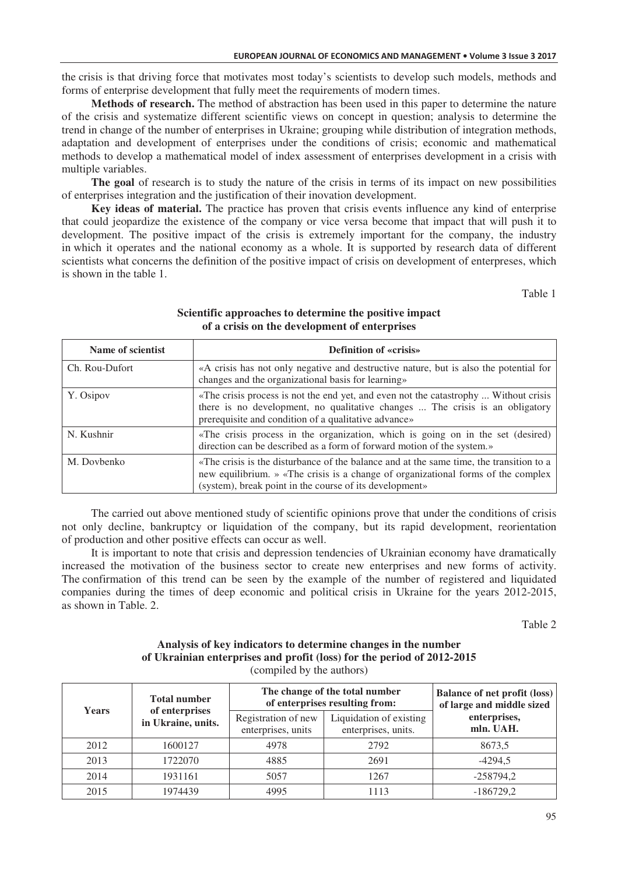the crisis is that driving force that motivates most today's scientists to develop such models, methods and forms of enterprise development that fully meet the requirements of modern times.

**Methods of research.** The method of abstraction has been used in this paper to determine the nature of the crisis and systematize different scientific views on concept in question; analysis to determine the trend in change of the number of enterprises in Ukraine; grouping while distribution of integration methods, adaptation and development of enterprises under the conditions of crisis; economic and mathematical methods to develop a mathematical model of index assessment of enterprises development in a crisis with multiple variables.

**The goal** of research is to study the nature of the crisis in terms of its impact on new possibilities of enterprises integration and the justification of their inovation development.

**Key ideas of material.** The practice has proven that crisis events influence any kind of enterprise that could jeopardize the existence of the company or vice versa become that impact that will push it to development. The positive impact of the crisis is extremely important for the company, the industry in which it operates and the national economy as a whole. It is supported by research data of different scientists what concerns the definition of the positive impact of crisis on development of enterpreses, which is shown in the table 1.

Table 1

| Name of scientist | <b>Definition of «crisis»</b>                                                                                                                                                                                                           |
|-------------------|-----------------------------------------------------------------------------------------------------------------------------------------------------------------------------------------------------------------------------------------|
| Ch. Rou-Dufort    | «A crisis has not only negative and destructive nature, but is also the potential for<br>changes and the organizational basis for learning»                                                                                             |
| Y. Osipov         | «The crisis process is not the end yet, and even not the catastrophy  Without crisis<br>there is no development, no qualitative changes  The crisis is an obligatory<br>prerequisite and condition of a qualitative advance»            |
| N. Kushnir        | «The crisis process in the organization, which is going on in the set (desired)<br>direction can be described as a form of forward motion of the system.»                                                                               |
| M. Dovbenko       | «The crisis is the disturbance of the balance and at the same time, the transition to a<br>new equilibrium. » «The crisis is a change of organizational forms of the complex<br>(system), break point in the course of its development» |

## **Scientific approaches to determine the positive impact of a crisis on the development of enterprises**

The carried out above mentioned study of scientific opinions prove that under the conditions of crisis not only decline, bankruptcy or liquidation of the company, but its rapid development, reorientation of production and other positive effects can occur as well.

It is important to note that crisis and depression tendencies of Ukrainian economy have dramatically increased the motivation of the business sector to create new enterprises and new forms of activity. The confirmation of this trend can be seen by the example of the number of registered and liquidated companies during the times of deep economic and political crisis in Ukraine for the years 2012-2015, as shown in Table. 2.

Table 2

### **Analysis of key indicators to determine changes in the number of Ukrainian enterprises and profit (loss) for the period of 2012-2015**  (compiled by the authors)

| <b>Years</b> | <b>Total number</b><br>of enterprises<br>in Ukraine, units. | The change of the total number<br>of enterprises resulting from: |                                                | <b>Balance of net profit (loss)</b><br>of large and middle sized |
|--------------|-------------------------------------------------------------|------------------------------------------------------------------|------------------------------------------------|------------------------------------------------------------------|
|              |                                                             | Registration of new<br>enterprises, units                        | Liquidation of existing<br>enterprises, units. | enterprises,<br>mln. UAH.                                        |
| 2012         | 1600127                                                     | 4978                                                             | 2792                                           | 8673,5                                                           |
| 2013         | 1722070                                                     | 4885                                                             | 2691                                           | $-4294.5$                                                        |
| 2014         | 1931161                                                     | 5057                                                             | 1267                                           | $-258794,2$                                                      |
| 2015         | 1974439                                                     | 4995                                                             | 1113                                           | $-186729,2$                                                      |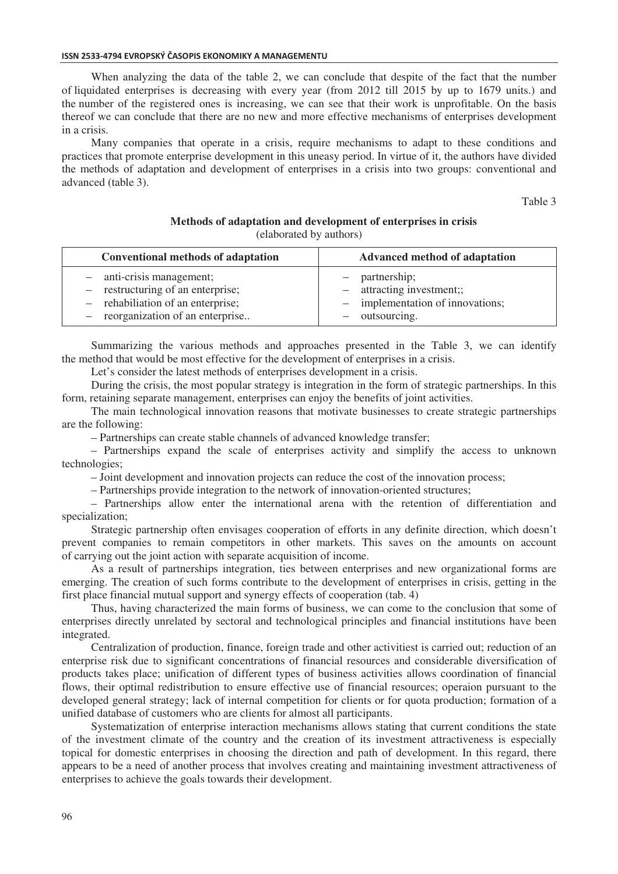When analyzing the data of the table 2, we can conclude that despite of the fact that the number of liquidated enterprises is decreasing with every year (from 2012 till 2015 by up to 1679 units.) and the number of the registered ones is increasing, we can see that their work is unprofitable. On the basis thereof we can conclude that there are no new and more effective mechanisms of enterprises development in a crisis.

Many companies that operate in a crisis, require mechanisms to adapt to these conditions and practices that promote enterprise development in this uneasy period. In virtue of it, the authors have divided the methods of adaptation and development of enterprises in a crisis into two groups: conventional and advanced (table 3).

Table 3

#### **Methods of adaptation and development of enterprises in crisis** (elaborated by authors)

| Conventional methods of adaptation | Advanced method of adaptation    |  |  |
|------------------------------------|----------------------------------|--|--|
| - anti-crisis management;          | - partnership;                   |  |  |
| - restructuring of an enterprise;  | - attracting investment;;        |  |  |
| - rehabiliation of an enterprise;  | - implementation of innovations; |  |  |
| - reorganization of an enterprise  | outsourcing.                     |  |  |

Summarizing the various methods and approaches presented in the Table 3, we can identify the method that would be most effective for the development of enterprises in a crisis.

Let's consider the latest methods of enterprises development in a crisis.

During the crisis, the most popular strategy is integration in the form of strategic partnerships. In this form, retaining separate management, enterprises can enjoy the benefits of joint activities.

The main technological innovation reasons that motivate businesses to create strategic partnerships are the following:

– Partnerships can create stable channels of advanced knowledge transfer;

– Partnerships expand the scale of enterprises activity and simplify the access to unknown technologies;

– Joint development and innovation projects can reduce the cost of the innovation process;

– Partnerships provide integration to the network of innovation-oriented structures;

– Partnerships allow enter the international arena with the retention of differentiation and specialization;

Strategic partnership often envisages cooperation of efforts in any definite direction, which doesn't prevent companies to remain competitors in other markets. This saves on the amounts on account of carrying out the joint action with separate acquisition of income.

As a result of partnerships integration, ties between enterprises and new organizational forms are emerging. The creation of such forms contribute to the development of enterprises in crisis, getting in the first place financial mutual support and synergy effects of cooperation (tab. 4)

Thus, having characterized the main forms of business, we can come to the conclusion that some of enterprises directly unrelated by sectoral and technological principles and financial institutions have been integrated.

Centralization of production, finance, foreign trade and other activitiest is carried out; reduction of an enterprise risk due to significant concentrations of financial resources and considerable diversification of products takes place; unification of different types of business activities allows coordination of financial flows, their optimal redistribution to ensure effective use of financial resources; operaion pursuant to the developed general strategy; lack of internal competition for clients or for quota production; formation of a unified database of customers who are clients for almost all participants.

Systematization of enterprise interaction mechanisms allows stating that current conditions the state of the investment climate of the country and the creation of its investment attractiveness is especially topical for domestic enterprises in choosing the direction and path of development. In this regard, there appears to be a need of another process that involves creating and maintaining investment attractiveness of enterprises to achieve the goals towards their development.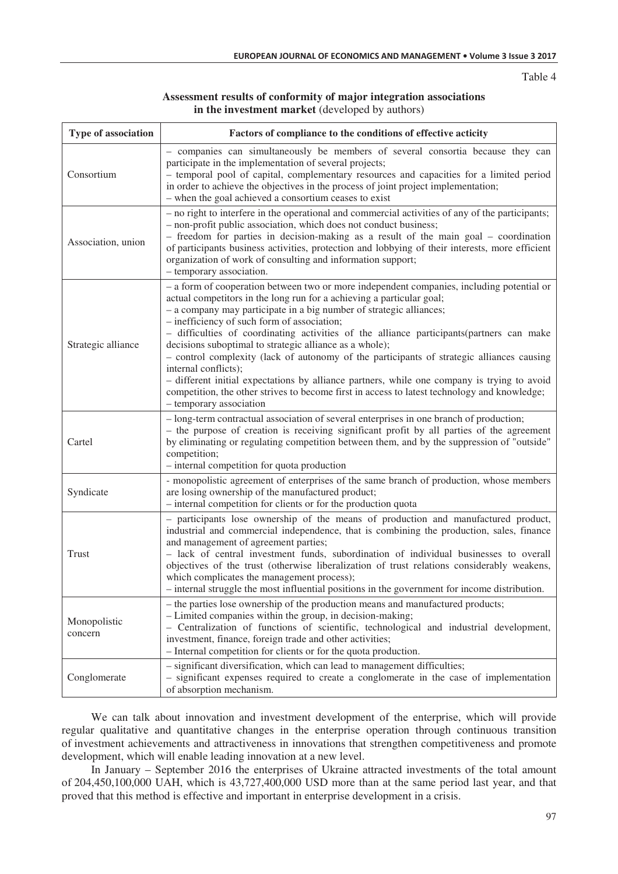### **Assessment results of conformity of major integration associations in the investment market** (developed by authors)

| Type of association     | Factors of compliance to the conditions of effective acticity                                                                                                                                                                                                                                                                                                                                                                                                                                                                                                                                                                                                                                                                                                                                   |  |  |
|-------------------------|-------------------------------------------------------------------------------------------------------------------------------------------------------------------------------------------------------------------------------------------------------------------------------------------------------------------------------------------------------------------------------------------------------------------------------------------------------------------------------------------------------------------------------------------------------------------------------------------------------------------------------------------------------------------------------------------------------------------------------------------------------------------------------------------------|--|--|
| Consortium              | - companies can simultaneously be members of several consortia because they can<br>participate in the implementation of several projects;<br>- temporal pool of capital, complementary resources and capacities for a limited period<br>in order to achieve the objectives in the process of joint project implementation;<br>- when the goal achieved a consortium ceases to exist                                                                                                                                                                                                                                                                                                                                                                                                             |  |  |
| Association, union      | - no right to interfere in the operational and commercial activities of any of the participants;<br>- non-profit public association, which does not conduct business;<br>- freedom for parties in decision-making as a result of the main goal - coordination<br>of participants business activities, protection and lobbying of their interests, more efficient<br>organization of work of consulting and information support;<br>- temporary association.                                                                                                                                                                                                                                                                                                                                     |  |  |
| Strategic alliance      | - a form of cooperation between two or more independent companies, including potential or<br>actual competitors in the long run for a achieving a particular goal;<br>- a company may participate in a big number of strategic alliances;<br>- inefficiency of such form of association;<br>- difficulties of coordinating activities of the alliance participants (partners can make<br>decisions suboptimal to strategic alliance as a whole);<br>- control complexity (lack of autonomy of the participants of strategic alliances causing<br>internal conflicts);<br>- different initial expectations by alliance partners, while one company is trying to avoid<br>competition, the other strives to become first in access to latest technology and knowledge;<br>- temporary association |  |  |
| Cartel                  | - long-term contractual association of several enterprises in one branch of production;<br>- the purpose of creation is receiving significant profit by all parties of the agreement<br>by eliminating or regulating competition between them, and by the suppression of "outside"<br>competition;<br>- internal competition for quota production                                                                                                                                                                                                                                                                                                                                                                                                                                               |  |  |
| Syndicate               | - monopolistic agreement of enterprises of the same branch of production, whose members<br>are losing ownership of the manufactured product;<br>- internal competition for clients or for the production quota                                                                                                                                                                                                                                                                                                                                                                                                                                                                                                                                                                                  |  |  |
| Trust                   | - participants lose ownership of the means of production and manufactured product,<br>industrial and commercial independence, that is combining the production, sales, finance<br>and management of agreement parties;<br>- lack of central investment funds, subordination of individual businesses to overall<br>objectives of the trust (otherwise liberalization of trust relations considerably weakens,<br>which complicates the management process);<br>- internal struggle the most influential positions in the government for income distribution.                                                                                                                                                                                                                                    |  |  |
| Monopolistic<br>concern | - the parties lose ownership of the production means and manufactured products;<br>- Limited companies within the group, in decision-making;<br>- Centralization of functions of scientific, technological and industrial development,<br>investment, finance, foreign trade and other activities;<br>- Internal competition for clients or for the quota production.                                                                                                                                                                                                                                                                                                                                                                                                                           |  |  |
| Conglomerate            | - significant diversification, which can lead to management difficulties;<br>- significant expenses required to create a conglomerate in the case of implementation<br>of absorption mechanism.                                                                                                                                                                                                                                                                                                                                                                                                                                                                                                                                                                                                 |  |  |

We can talk about innovation and investment development of the enterprise, which will provide regular qualitative and quantitative changes in the enterprise operation through continuous transition of investment achievements and attractiveness in innovations that strengthen competitiveness and promote development, which will enable leading innovation at a new level.

In January – September 2016 the enterprises of Ukraine attracted investments of the total amount of 204,450,100,000 UAH, which is  $43,727,400,000$  USD more than at the same period last year, and that proved that this method is effective and important in enterprise development in a crisis.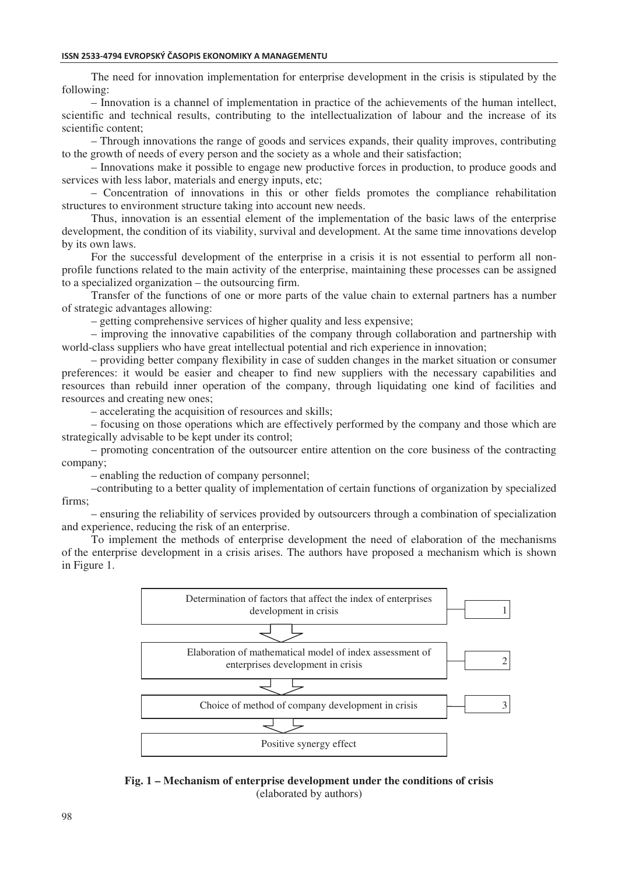#### ISSN 2533-4794 EVROPSKÝ ČASOPIS EKONOMIKY A MANAGEMENTU

The need for innovation implementation for enterprise development in the crisis is stipulated by the following:

– Innovation is a channel of implementation in practice of the achievements of the human intellect, scientific and technical results, contributing to the intellectualization of labour and the increase of its scientific content;

– Through innovations the range of goods and services expands, their quality improves, contributing to the growth of needs of every person and the society as a whole and their satisfaction;

– Innovations make it possible to engage new productive forces in production, to produce goods and services with less labor, materials and energy inputs, etc;

– Concentration of innovations in this or other fields promotes the compliance rehabilitation structures to environment structure taking into account new needs.

Thus, innovation is an essential element of the implementation of the basic laws of the enterprise development, the condition of its viability, survival and development. At the same time innovations develop by its own laws.

For the successful development of the enterprise in a crisis it is not essential to perform all nonprofile functions related to the main activity of the enterprise, maintaining these processes can be assigned to a specialized organization – the outsourcing firm.

Transfer of the functions of one or more parts of the value chain to external partners has a number of strategic advantages allowing:

– getting comprehensive services of higher quality and less expensive;

– improving the innovative capabilities of the company through collaboration and partnership with world-class suppliers who have great intellectual potential and rich experience in innovation;

– providing better company flexibility in case of sudden changes in the market situation or consumer preferences: it would be easier and cheaper to find new suppliers with the necessary capabilities and resources than rebuild inner operation of the company, through liquidating one kind of facilities and resources and creating new ones;

– accelerating the acquisition of resources and skills;

– focusing on those operations which are effectively performed by the company and those which are strategically advisable to be kept under its control;

– promoting concentration of the outsourcer entire attention on the core business of the contracting company;

– enabling the reduction of company personnel;

–contributing to a better quality of implementation of certain functions of organization by specialized firms;

– ensuring the reliability of services provided by outsourcers through a combination of specialization and experience, reducing the risk of an enterprise.

To implement the methods of enterprise development the need of elaboration of the mechanisms of the enterprise development in a crisis arises. The authors have proposed a mechanism which is shown in Figure 1.



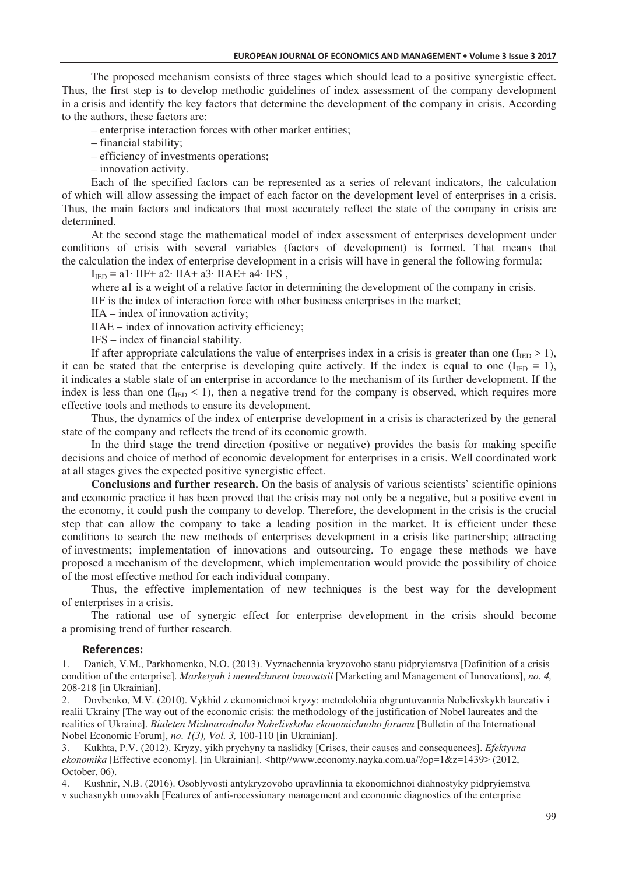The proposed mechanism consists of three stages which should lead to a positive synergistic effect. Thus, the first step is to develop methodic guidelines of index assessment of the company development in a crisis and identify the key factors that determine the development of the company in crisis. According to the authors, these factors are:

– enterprise interaction forces with other market entities;

– financial stability;

– efficiency of investments operations;

– innovation activity.

Each of the specified factors can be represented as a series of relevant indicators, the calculation of which will allow assessing the impact of each factor on the development level of enterprises in a crisis. Thus, the main factors and indicators that most accurately reflect the state of the company in crisis are determined.

At the second stage the mathematical model of index assessment of enterprises development under conditions of crisis with several variables (factors of development) is formed. That means that the calculation the index of enterprise development in a crisis will have in general the following formula:

 $I_{\text{IED}} = a1 \cdot II$ F+  $a2 \cdot IIA + a3 \cdot IIA$ E+  $a4 \cdot IFS$ ,

where al is a weight of a relative factor in determining the development of the company in crisis.

IIF is the index of interaction force with other business enterprises in the market;

 $IIA$  – index of innovation activity;

IIAE – index of innovation activity efficiency;

IFS – index of financial stability.

If after appropriate calculations the value of enterprises index in a crisis is greater than one ( $I_{\text{IED}} > 1$ ), it can be stated that the enterprise is developing quite actively. If the index is equal to one ( $I_{\text{IED}} = 1$ ), it indicates a stable state of an enterprise in accordance to the mechanism of its further development. If the index is less than one  $(I_{\text{IED}} < 1)$ , then a negative trend for the company is observed, which requires more effective tools and methods to ensure its development.

Thus, the dynamics of the index of enterprise development in a crisis is characterized by the general state of the company and reflects the trend of its economic growth.

In the third stage the trend direction (positive or negative) provides the basis for making specific decisions and choice of method of economic development for enterprises in a crisis. Well coordinated work at all stages gives the expected positive synergistic effect.

**Conclusions and further research.** On the basis of analysis of various scientists' scientific opinions and economic practice it has been proved that the crisis may not only be a negative, but a positive event in the economy, it could push the company to develop. Therefore, the development in the crisis is the crucial step that can allow the company to take a leading position in the market. It is efficient under these conditions to search the new methods of enterprises development in a crisis like partnership; attracting of investments; implementation of innovations and outsourcing. To engage these methods we have proposed a mechanism of the development, which implementation would provide the possibility of choice of the most effective method for each individual company.

Thus, the effective implementation of new techniques is the best way for the development of enterprises in a crisis.

The rational use of synergic effect for enterprise development in the crisis should become a promising trend of further research.

#### $References:$

1. Danich, V.M., Parkhomenko, N.O. (2013). Vyznachennia kryzovoho stanu pidpryiemstva [Definition of a crisis condition of the enterprise]. *Marketynh i menedzhment innovatsii* [Marketing and Management of Innovations], *no. 4,* 208-218 [in Ukrainian].

2. Dovbenko, M.V. (2010). Vykhid z ekonomichnoi kryzy: metodolohiia obgruntuvannia Nobelivskykh laureativ i realii Ukrainy [The way out of the economic crisis: the methodology of the justification of Nobel laureates and the realities of Ukraine]. *Biuleten Mizhnarodnoho Nobelivskoho ekonomichnoho forumu* [Bulletin of the International Nobel Economic Forum], *no. 1(3), Vol. 3,* 100-110 [in Ukrainian].

3. Kukhta, P.V. (2012). Kryzy, yikh prychyny ta naslidky [Crises, their causes and consequences]. *Efektyvna ekonomika* [Effective economy]. [in Ukrainian]. <http//www.economy.nayka.com.ua/?op=1&z=1439> (2012, October, 06).

4. Kushnir, N.B. (2016). Osoblyvosti antykryzovoho upravlinnia ta ekonomichnoi diahnostyky pidpryiemstva v suchasnykh umovakh [Features of anti-recessionary management and economic diagnostics of the enterprise